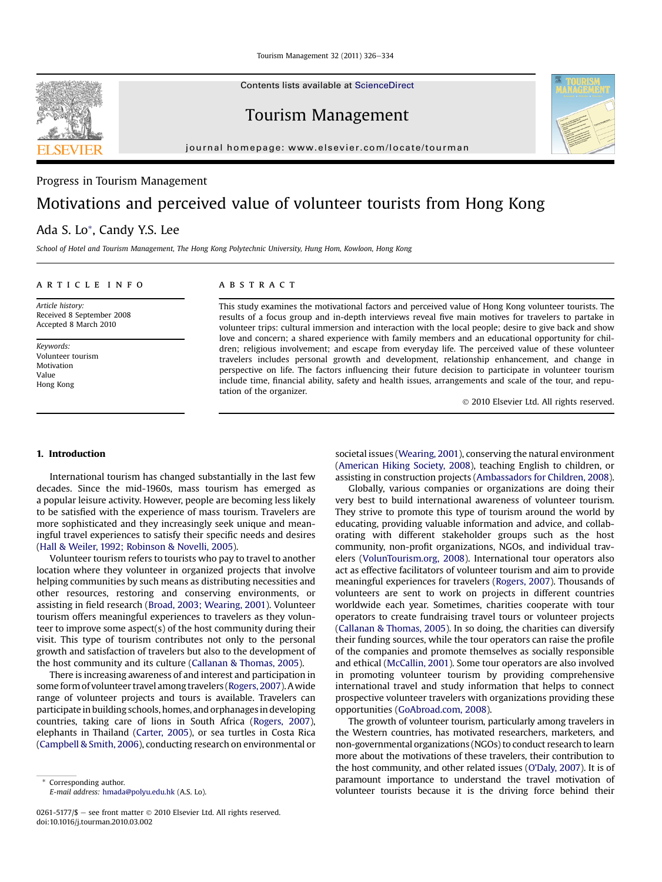Tourism Management 32 (2011) 326-334

Contents lists available at ScienceDirect

Tourism Management

journal homepage: [www.elsevier.com/locate/tourman](http://www.elsevier.com/locate/tourman)

# Progress in Tourism Management

## Motivations and perceived value of volunteer tourists from Hong Kong

### Ada S. Lo\*, Candy Y.S. Lee

School of Hotel and Tourism Management, The Hong Kong Polytechnic University, Hung Hom, Kowloon, Hong Kong

### article info

Article history: Received 8 September 2008 Accepted 8 March 2010

Keywords: Volunteer tourism Motivation Value Hong Kong

### **ABSTRACT**

This study examines the motivational factors and perceived value of Hong Kong volunteer tourists. The results of a focus group and in-depth interviews reveal five main motives for travelers to partake in volunteer trips: cultural immersion and interaction with the local people; desire to give back and show love and concern; a shared experience with family members and an educational opportunity for children; religious involvement; and escape from everyday life. The perceived value of these volunteer travelers includes personal growth and development, relationship enhancement, and change in perspective on life. The factors influencing their future decision to participate in volunteer tourism include time, financial ability, safety and health issues, arrangements and scale of the tour, and reputation of the organizer.

2010 Elsevier Ltd. All rights reserved.

#### 1. Introduction

International tourism has changed substantially in the last few decades. Since the mid-1960s, mass tourism has emerged as a popular leisure activity. However, people are becoming less likely to be satisfied with the experience of mass tourism. Travelers are more sophisticated and they increasingly seek unique and meaningful travel experiences to satisfy their specific needs and desires ([Hall & Weiler, 1992; Robinson & Novelli, 2005\)](#page--1-0).

Volunteer tourism refers to tourists who pay to travel to another location where they volunteer in organized projects that involve helping communities by such means as distributing necessities and other resources, restoring and conserving environments, or assisting in field research ([Broad, 2003; Wearing, 2001](#page--1-0)). Volunteer tourism offers meaningful experiences to travelers as they volunteer to improve some aspect(s) of the host community during their visit. This type of tourism contributes not only to the personal growth and satisfaction of travelers but also to the development of the host community and its culture ([Callanan & Thomas, 2005](#page--1-0)).

There is increasing awareness of and interest and participation in some form of volunteer travel among travelers ([Rogers, 2007\)](#page--1-0). Awide range of volunteer projects and tours is available. Travelers can participate in building schools, homes, and orphanages in developing countries, taking care of lions in South Africa [\(Rogers, 2007](#page--1-0)), elephants in Thailand ([Carter, 2005\)](#page--1-0), or sea turtles in Costa Rica ([Campbell & Smith, 2006\)](#page--1-0), conducting research on environmental or

Corresponding author. E-mail address: [hmada@polyu.edu.hk](mailto:hmada@polyu.edu.hk) (A.S. Lo).

0261-5177/\$  $-$  see front matter  $\odot$  2010 Elsevier Ltd. All rights reserved. doi:10.1016/j.tourman.2010.03.002

societal issues ([Wearing, 2001\)](#page--1-0), conserving the natural environment ([American Hiking Society, 2008](#page--1-0)), teaching English to children, or assisting in construction projects ([Ambassadors for Children, 2008](#page--1-0)).

Globally, various companies or organizations are doing their very best to build international awareness of volunteer tourism. They strive to promote this type of tourism around the world by educating, providing valuable information and advice, and collaborating with different stakeholder groups such as the host community, non-profit organizations, NGOs, and individual travelers [\(VolunTourism.org, 2008](#page--1-0)). International tour operators also act as effective facilitators of volunteer tourism and aim to provide meaningful experiences for travelers [\(Rogers, 2007](#page--1-0)). Thousands of volunteers are sent to work on projects in different countries worldwide each year. Sometimes, charities cooperate with tour operators to create fundraising travel tours or volunteer projects ([Callanan & Thomas, 2005](#page--1-0)). In so doing, the charities can diversify their funding sources, while the tour operators can raise the profile of the companies and promote themselves as socially responsible and ethical [\(McCallin, 2001](#page--1-0)). Some tour operators are also involved in promoting volunteer tourism by providing comprehensive international travel and study information that helps to connect prospective volunteer travelers with organizations providing these opportunities ([GoAbroad.com, 2008\)](#page--1-0).

The growth of volunteer tourism, particularly among travelers in the Western countries, has motivated researchers, marketers, and non-governmental organizations (NGOs) to conduct research to learn more about the motivations of these travelers, their contribution to the host community, and other related issues (O'[Daly, 2007](#page--1-0)). It is of paramount importance to understand the travel motivation of volunteer tourists because it is the driving force behind their



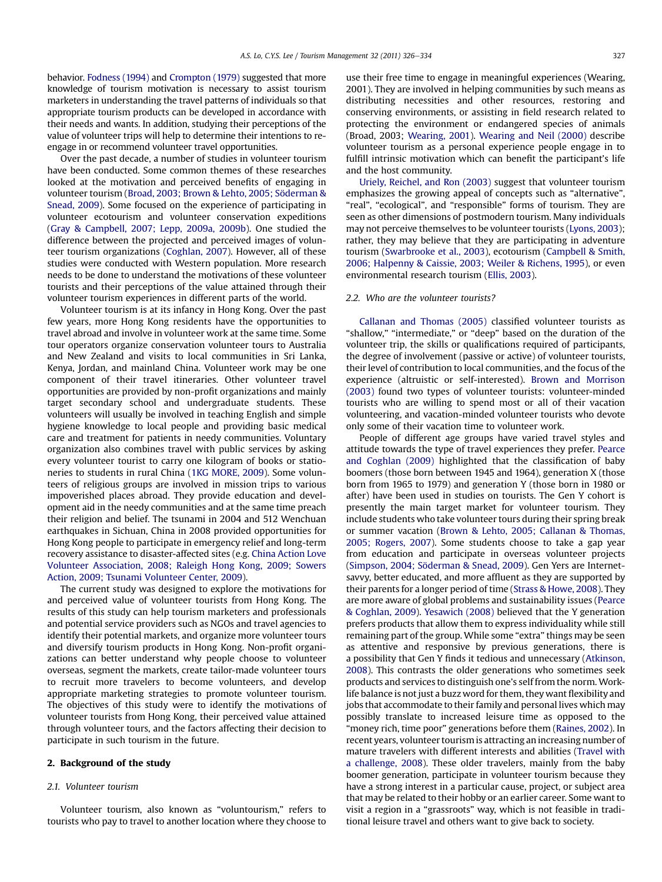behavior. [Fodness \(1994\)](#page--1-0) and [Crompton \(1979\)](#page--1-0) suggested that more knowledge of tourism motivation is necessary to assist tourism marketers in understanding the travel patterns of individuals so that appropriate tourism products can be developed in accordance with their needs and wants. In addition, studying their perceptions of the value of volunteer trips will help to determine their intentions to reengage in or recommend volunteer travel opportunities.

Over the past decade, a number of studies in volunteer tourism have been conducted. Some common themes of these researches looked at the motivation and perceived benefits of engaging in volunteer tourism [\(Broad, 2003; Brown & Lehto, 2005; Söderman &](#page--1-0) [Snead, 2009](#page--1-0)). Some focused on the experience of participating in volunteer ecotourism and volunteer conservation expeditions ([Gray & Campbell, 2007; Lepp, 2009a, 2009b](#page--1-0)). One studied the difference between the projected and perceived images of volunteer tourism organizations ([Coghlan, 2007\)](#page--1-0). However, all of these studies were conducted with Western population. More research needs to be done to understand the motivations of these volunteer tourists and their perceptions of the value attained through their volunteer tourism experiences in different parts of the world.

Volunteer tourism is at its infancy in Hong Kong. Over the past few years, more Hong Kong residents have the opportunities to travel abroad and involve in volunteer work at the same time. Some tour operators organize conservation volunteer tours to Australia and New Zealand and visits to local communities in Sri Lanka, Kenya, Jordan, and mainland China. Volunteer work may be one component of their travel itineraries. Other volunteer travel opportunities are provided by non-profit organizations and mainly target secondary school and undergraduate students. These volunteers will usually be involved in teaching English and simple hygiene knowledge to local people and providing basic medical care and treatment for patients in needy communities. Voluntary organization also combines travel with public services by asking every volunteer tourist to carry one kilogram of books or stationeries to students in rural China [\(1KG MORE, 2009\)](#page--1-0). Some volunteers of religious groups are involved in mission trips to various impoverished places abroad. They provide education and development aid in the needy communities and at the same time preach their religion and belief. The tsunami in 2004 and 512 Wenchuan earthquakes in Sichuan, China in 2008 provided opportunities for Hong Kong people to participate in emergency relief and long-term recovery assistance to disaster-affected sites (e.g. [China Action Love](#page--1-0) [Volunteer Association, 2008; Raleigh Hong Kong, 2009; Sowers](#page--1-0) [Action, 2009; Tsunami Volunteer Center, 2009](#page--1-0)).

The current study was designed to explore the motivations for and perceived value of volunteer tourists from Hong Kong. The results of this study can help tourism marketers and professionals and potential service providers such as NGOs and travel agencies to identify their potential markets, and organize more volunteer tours and diversify tourism products in Hong Kong. Non-profit organizations can better understand why people choose to volunteer overseas, segment the markets, create tailor-made volunteer tours to recruit more travelers to become volunteers, and develop appropriate marketing strategies to promote volunteer tourism. The objectives of this study were to identify the motivations of volunteer tourists from Hong Kong, their perceived value attained through volunteer tours, and the factors affecting their decision to participate in such tourism in the future.

#### 2. Background of the study

#### 2.1. Volunteer tourism

Volunteer tourism, also known as "voluntourism," refers to tourists who pay to travel to another location where they choose to use their free time to engage in meaningful experiences (Wearing, 2001). They are involved in helping communities by such means as distributing necessities and other resources, restoring and conserving environments, or assisting in field research related to protecting the environment or endangered species of animals (Broad, 2003; [Wearing, 2001](#page--1-0)). [Wearing and Neil \(2000\)](#page--1-0) describe volunteer tourism as a personal experience people engage in to fulfill intrinsic motivation which can benefit the participant's life and the host community.

[Uriely, Reichel, and Ron \(2003\)](#page--1-0) suggest that volunteer tourism emphasizes the growing appeal of concepts such as "alternative", "real", "ecological", and "responsible" forms of tourism. They are seen as other dimensions of postmodern tourism. Many individuals may not perceive themselves to be volunteer tourists [\(Lyons, 2003\)](#page--1-0); rather, they may believe that they are participating in adventure tourism ([Swarbrooke et al., 2003](#page--1-0)), ecotourism ([Campbell & Smith,](#page--1-0) [2006; Halpenny & Caissie, 2003; Weiler & Richens, 1995](#page--1-0)), or even environmental research tourism ([Ellis, 2003](#page--1-0)).

#### 2.2. Who are the volunteer tourists?

[Callanan and Thomas \(2005\)](#page--1-0) classified volunteer tourists as "shallow," "intermediate," or "deep" based on the duration of the volunteer trip, the skills or qualifications required of participants, the degree of involvement (passive or active) of volunteer tourists, their level of contribution to local communities, and the focus of the experience (altruistic or self-interested). [Brown and Morrison](#page--1-0) [\(2003\)](#page--1-0) found two types of volunteer tourists: volunteer-minded tourists who are willing to spend most or all of their vacation volunteering, and vacation-minded volunteer tourists who devote only some of their vacation time to volunteer work.

People of different age groups have varied travel styles and attitude towards the type of travel experiences they prefer. [Pearce](#page--1-0) [and Coghlan \(2009\)](#page--1-0) highlighted that the classification of baby boomers (those born between 1945 and 1964), generation X (those born from 1965 to 1979) and generation Y (those born in 1980 or after) have been used in studies on tourists. The Gen Y cohort is presently the main target market for volunteer tourism. They include students who take volunteer tours during their spring break or summer vacation [\(Brown & Lehto, 2005; Callanan & Thomas,](#page--1-0) [2005; Rogers, 2007](#page--1-0)). Some students choose to take a gap year from education and participate in overseas volunteer projects ([Simpson, 2004; Söderman & Snead, 2009](#page--1-0)). Gen Yers are Internetsavvy, better educated, and more affluent as they are supported by their parents for a longer period of time [\(Strass & Howe, 2008\)](#page--1-0). They are more aware of global problems and sustainability issues ([Pearce](#page--1-0) [& Coghlan, 2009](#page--1-0)). [Yesawich \(2008\)](#page--1-0) believed that the Y generation prefers products that allow them to express individuality while still remaining part of the group. While some "extra" things may be seen as attentive and responsive by previous generations, there is a possibility that Gen Y finds it tedious and unnecessary [\(Atkinson,](#page--1-0) [2008\)](#page--1-0). This contrasts the older generations who sometimes seek products and services to distinguish one's self from the norm. Worklife balance is not just a buzz word for them, they want flexibility and jobs that accommodate to their family and personal lives which may possibly translate to increased leisure time as opposed to the "money rich, time poor" generations before them ([Raines, 2002](#page--1-0)). In recent years, volunteer tourism is attracting an increasing number of mature travelers with different interests and abilities ([Travel with](#page--1-0) [a challenge, 2008](#page--1-0)). These older travelers, mainly from the baby boomer generation, participate in volunteer tourism because they have a strong interest in a particular cause, project, or subject area that may be related to their hobby or an earlier career. Some want to visit a region in a "grassroots" way, which is not feasible in traditional leisure travel and others want to give back to society.